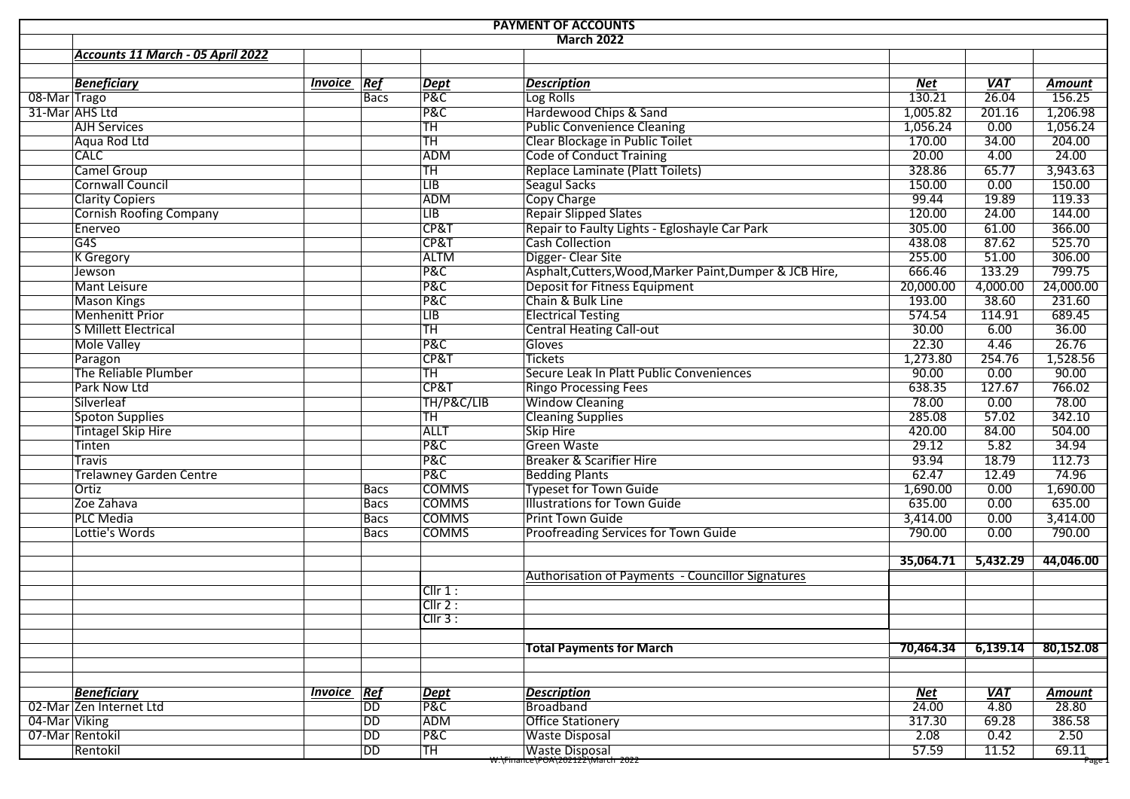|                 |                                   |                |                 |                       | <b>PAYMENT OF ACCOUNTS</b>                               |            |                   |               |
|-----------------|-----------------------------------|----------------|-----------------|-----------------------|----------------------------------------------------------|------------|-------------------|---------------|
|                 |                                   |                |                 |                       | <b>March 2022</b>                                        |            |                   |               |
|                 | Accounts 11 March - 05 April 2022 |                |                 |                       |                                                          |            |                   |               |
|                 |                                   |                |                 |                       |                                                          |            |                   |               |
|                 | <b>Beneficiary</b>                | <b>Invoice</b> | Ref             | <b>Dept</b>           | <b>Description</b>                                       | Net        | <b>VAT</b>        | <b>Amount</b> |
| 08-Mar Trago    |                                   |                | <b>Bacs</b>     | P&C                   | Log Rolls                                                | 130.21     | $\frac{1}{26.04}$ | 156.25        |
|                 | 31-Mar AHS Ltd                    |                |                 | P&C                   | Hardewood Chips & Sand                                   | 1,005.82   | 201.16            | 1,206.98      |
|                 | <b>AJH Services</b>               |                |                 | TH                    | <b>Public Convenience Cleaning</b>                       | 1,056.24   | 0.00              | 1,056.24      |
|                 | Aqua Rod Ltd                      |                |                 | <b>TH</b>             | Clear Blockage in Public Toilet                          | 170.00     | 34.00             | 204.00        |
|                 | <b>CALC</b>                       |                |                 | <b>ADM</b>            | <b>Code of Conduct Training</b>                          | 20.00      | 4.00              | 24.00         |
|                 | Camel Group                       |                |                 | <b>TH</b>             | Replace Laminate (Platt Toilets)                         | 328.86     | 65.77             | 3,943.63      |
|                 | <b>Cornwall Council</b>           |                |                 | $\overline{LB}$       | Seagul Sacks                                             | 150.00     | 0.00              | 150.00        |
|                 | <b>Clarity Copiers</b>            |                |                 | ADM                   | Copy Charge                                              | 99.44      | 19.89             | 119.33        |
|                 | <b>Cornish Roofing Company</b>    |                |                 | $\overline{LIB}$      | <b>Repair Slipped Slates</b>                             | 120.00     | 24.00             | 144.00        |
|                 | Enerveo                           |                |                 | CP&T                  | Repair to Faulty Lights - Egloshayle Car Park            | 305.00     | 61.00             | 366.00        |
|                 | G4S                               |                |                 | CP&T                  | <b>Cash Collection</b>                                   | 438.08     | 87.62             | 525.70        |
|                 | <b>K</b> Gregory                  |                |                 | <b>ALTM</b>           | Digger- Clear Site                                       | 255.00     | 51.00             | 306.00        |
|                 | Jewson                            |                |                 | P&C                   | Asphalt, Cutters, Wood, Marker Paint, Dumper & JCB Hire, | 666.46     | 133.29            | 799.75        |
|                 | Mant Leisure                      |                |                 | P&C                   | Deposit for Fitness Equipment                            | 20,000.00  | 4,000.00          | 24,000.00     |
|                 | <b>Mason Kings</b>                |                |                 | <b>P&amp;C</b>        | Chain & Bulk Line                                        | 193.00     | 38.60             | 231.60        |
|                 | <b>Menhenitt Prior</b>            |                |                 | LIB                   | <b>Electrical Testing</b>                                | 574.54     | 114.91            | 689.45        |
|                 | S Millett Electrical              |                |                 | <b>TH</b>             | <b>Central Heating Call-out</b>                          | 30.00      | 6.00              | 36.00         |
|                 | <b>Mole Valley</b>                |                |                 | P&C                   | Gloves                                                   | 22.30      | 4.46              | 26.76         |
|                 | Paragon                           |                |                 | CP&T                  | Tickets                                                  | 1,273.80   | 254.76            | 1,528.56      |
|                 | The Reliable Plumber              |                |                 | TH                    | Secure Leak In Platt Public Conveniences                 | 90.00      | 0.00              | 90.00         |
|                 | Park Now Ltd                      |                |                 | CP&T                  | <b>Ringo Processing Fees</b>                             | 638.35     | 127.67            | 766.02        |
|                 | Silverleaf                        |                |                 | TH/P&C/LIB            | <b>Window Cleaning</b>                                   | 78.00      | 0.00              | 78.00         |
|                 | Spoton Supplies                   |                |                 | TH                    | <b>Cleaning Supplies</b>                                 | 285.08     | 57.02             | 342.10        |
|                 | <b>Tintagel Skip Hire</b>         |                |                 | <b>ALLT</b>           | Skip Hire                                                | 420.00     | 84.00             | 504.00        |
|                 | Tinten                            |                |                 | <b>P&amp;C</b>        | <b>Green Waste</b>                                       | 29.12      | 5.82              | 34.94         |
|                 | <b>Travis</b>                     |                |                 | <b>P&amp;C</b>        | Breaker & Scarifier Hire                                 | 93.94      | 18.79             | 112.73        |
|                 | <b>Trelawney Garden Centre</b>    |                |                 | P&C                   | <b>Bedding Plants</b>                                    | 62.47      | 12.49             | 74.96         |
|                 | Ortiz                             |                | <b>Bacs</b>     | <b>COMMS</b>          | <b>Typeset for Town Guide</b>                            | 1,690.00   | 0.00              | 1,690.00      |
|                 | Zoe Zahava                        |                | <b>Bacs</b>     | <b>COMMS</b>          | <b>Illustrations for Town Guide</b>                      | 635.00     | 0.00              | 635.00        |
|                 | <b>PLC Media</b>                  |                | <b>Bacs</b>     | <b>COMMS</b>          | Print Town Guide                                         | 3,414.00   | 0.00              | 3,414.00      |
|                 | Lottie's Words                    |                | <b>Bacs</b>     | <b>COMMS</b>          | Proofreading Services for Town Guide                     | 790.00     | 0.00              | 790.00        |
|                 |                                   |                |                 |                       |                                                          |            |                   |               |
|                 |                                   |                |                 |                       |                                                          | 35,064.71  | 5,432.29          | 44,046.00     |
|                 |                                   |                |                 |                       | Authorisation of Payments - Councillor Signatures        |            |                   |               |
|                 |                                   |                |                 | Cllr 1:               |                                                          |            |                   |               |
|                 |                                   |                |                 | Clir 2:               |                                                          |            |                   |               |
|                 |                                   |                |                 | CIIr3:                |                                                          |            |                   |               |
|                 |                                   |                |                 |                       |                                                          |            |                   |               |
|                 |                                   |                |                 |                       | <b>Total Payments for March</b>                          | 70,464.34  | 6,139.14          | 80,152.08     |
|                 |                                   |                |                 |                       |                                                          |            |                   |               |
|                 | <b>Beneficiary</b>                | <b>Invoice</b> | Ref             | <b>Dept</b>           | <b>Description</b>                                       | <b>Net</b> | <b>VAT</b>        | <b>Amount</b> |
|                 | 02-Mar Zen Internet Ltd           |                | $\overline{DD}$ | <b>P&amp;C</b>        | Broadband                                                | 24.00      | 4.80              | 28.80         |
|                 | 04-Mar Viking                     |                | DD              | ADM                   | <b>Office Stationery</b>                                 | 317.30     | 69.28             | 386.58        |
| 07-Mar Rentokil |                                   | DD             | <b>P&amp;C</b>  | <b>Waste Disposal</b> | 2.08                                                     | 0.42       | 2.50              |               |
|                 | Rentokil                          |                | DD              | TH                    | <b>Waste Disposal</b>                                    | 57.59      | 11.52             | 69.11         |
|                 |                                   |                |                 |                       | <del>w:\Finance\POA\202122\March 2022</del>              |            |                   | Page          |